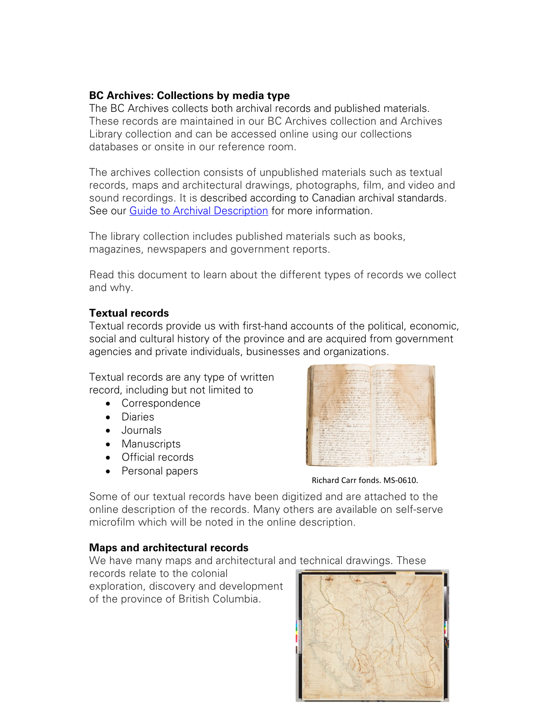#### **BC Archives: Collections by media type**

The BC Archives collects both archival records and published materials. These records are maintained in our BC Archives collection and Archives Library collection and can be accessed online using our collections databases or onsite in our reference room.

The archives collection consists of unpublished materials such as textual records, maps and architectural drawings, photographs, film, and video and sound recordings. It is described according to Canadian archival standards. See our [Guide to Archival Description](https://search-bcarchives.royalbcmuseum.bc.ca/frequently-asked-questions#archival-records-described) for more information.

The library collection includes published materials such as books, magazines, newspapers and government reports.

Read this document to learn about the different types of records we collect and why.

#### **Textual records**

Textual records provide us with first-hand accounts of the political, economic, social and cultural history of the province and are acquired from government agencies and private individuals, businesses and organizations.

Textual records are any type of written record, including but not limited to

- Correspondence
- Diaries
- Journals
- Manuscripts
- Official records
- Personal papers



Richard Carr fonds. MS-0610.

Some of our textual records have been digitized and are attached to the online description of the records. Many others are available on self-serve microfilm which will be noted in the online description.

## **Maps and architectural records**

We have many maps and architectural and technical drawings. These

records relate to the colonial exploration, discovery and development of the province of British Columbia.

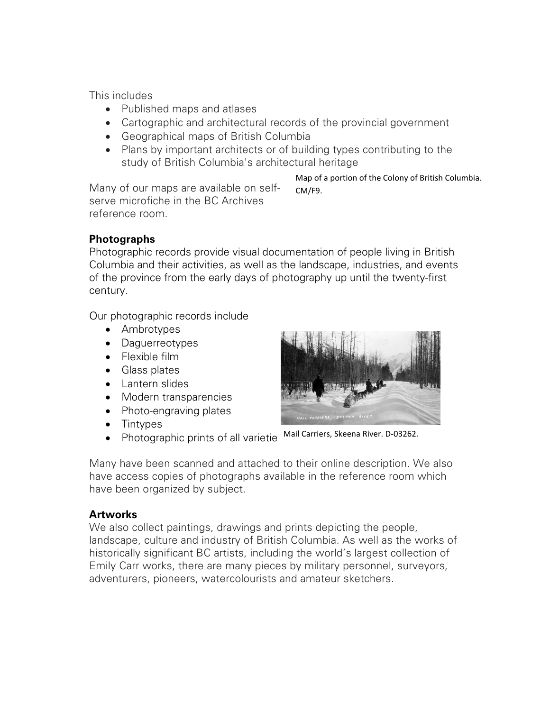This includes

- Published maps and atlases
- Cartographic and architectural records of the provincial government
- Geographical maps of British Columbia
- Plans by important architects or of building types contributing to the study of British Columbia's architectural heritage

Map of a portion of the Colony of British Columbia. CM/F9.

Many of our maps are available on selfserve microfiche in the BC Archives reference room.

# **Photographs**

Photographic records provide visual documentation of people living in British Columbia and their activities, as well as the landscape, industries, and events of the province from the early days of photography up until the twenty-first century.

Our photographic records include

- Ambrotypes
- Daguerreotypes
- Flexible film
- Glass plates
- Lantern slides
- Modern transparencies
- Photo-engraving plates
- Tintypes
- Photographic prints of all varietie Mail Carriers, Skeena River. D-03262.

Many have been scanned and attached to their online description. We also have access copies of photographs available in the reference room which have been organized by subject.

## **Artworks**

We also collect paintings, drawings and prints depicting the people, landscape, culture and industry of British Columbia. As well as the works of historically significant BC artists, including the world's largest collection of Emily Carr works, there are many pieces by military personnel, surveyors, adventurers, pioneers, watercolourists and amateur sketchers.

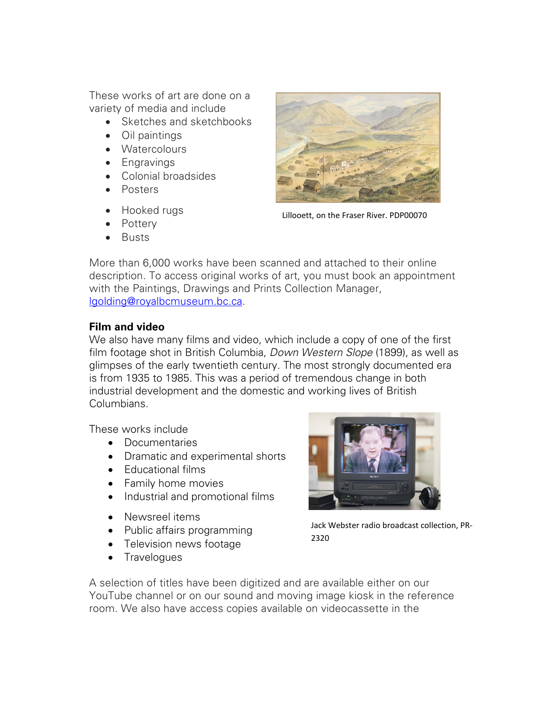These works of art are done on a variety of media and include

- Sketches and sketchbooks
- Oil paintings
- Watercolours
- Engravings
- Colonial broadsides
- Posters
- Hooked rugs
- Pottery
- Busts



Lillooett, on the Fraser River. PDP00070

More than 6,000 works have been scanned and attached to their online description. To access original works of art, you must book an appointment with the Paintings, Drawings and Prints Collection Manager, [lgolding@royalbcmuseum.bc.ca.](mailto:lgoulding@royalbcmuseum.bc.ca)

## **Film and video**

We also have many films and video, which include a copy of one of the first film footage shot in British Columbia, *Down Western Slope* (1899), as well as glimpses of the early twentieth century. The most strongly documented era is from 1935 to 1985. This was a period of tremendous change in both industrial development and the domestic and working lives of British Columbians.

These works include

- Documentaries
- Dramatic and experimental shorts
- Educational films
- Family home movies
- Industrial and promotional films
- Newsreel items
- Public affairs programming
- Television news footage
- Travelogues



Jack Webster radio broadcast collection, PR-2320

A selection of titles have been digitized and are available either on our YouTube channel or on our sound and moving image kiosk in the reference room. We also have access copies available on videocassette in the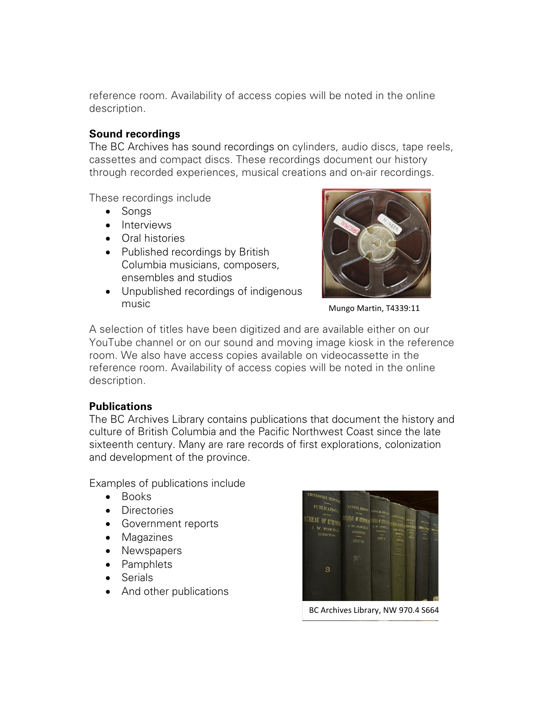reference room. Availability of access copies will be noted in the online description.

#### **Sound recordings**

The BC Archives has sound recordings on cylinders, audio discs, tape reels, cassettes and compact discs. These recordings document our history through recorded experiences, musical creations and on-air recordings.

These recordings include

- Songs
- Interviews
- Oral histories
- Published recordings by British Columbia musicians, composers, ensembles and studios
- Unpublished recordings of indigenous music



Mungo Martin, T4339:11

A selection of titles have been digitized and are available either on our YouTube channel or on our sound and moving image kiosk in the reference room. We also have access copies available on videocassette in the reference room. Availability of access copies will be noted in the online description.

## **Publications**

The BC Archives Library contains publications that document the history and culture of British Columbia and the Pacific Northwest Coast since the late sixteenth century. Many are rare records of first explorations, colonization and development of the province.

Examples of publications include

- Books
- Directories
- Government reports
- Magazines
- Newspapers
- Pamphlets
- Serials
- And other publications



BC Archives Library, NW 970.4 S664